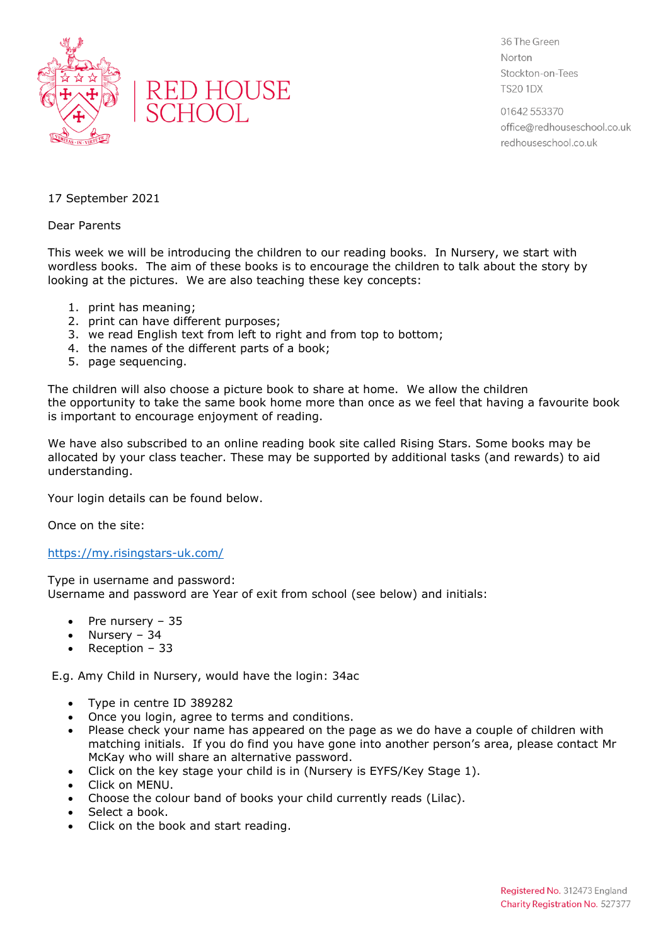



36 The Green Norton Stockton-on-Tees **TS20 1DX** 

01642 553370 office@redhouseschool.co.uk redhouseschool.co.uk

## 17 September 2021

## Dear Parents

This week we will be introducing the children to our reading books. In Nursery, we start with wordless books. The aim of these books is to encourage the children to talk about the story by looking at the pictures. We are also teaching these key concepts:

- 1. print has meaning;
- 2. print can have different purposes;
- 3. we read English text from left to right and from top to bottom;
- 4. the names of the different parts of a book;
- 5. page sequencing.

The children will also choose a picture book to share at home. We allow the children the opportunity to take the same book home more than once as we feel that having a favourite book is important to encourage enjoyment of reading.

We have also subscribed to an online reading book site called Rising Stars. Some books may be allocated by your class teacher. These may be supported by additional tasks (and rewards) to aid understanding.

Your login details can be found below.

Once on the site:

## <https://my.risingstars-uk.com/>

Type in username and password: Username and password are Year of exit from school (see below) and initials:

- Pre nursery 35
- Nursery 34
- Reception 33

E.g. Amy Child in Nursery, would have the login: 34ac

- Type in centre ID 389282
- Once you login, agree to terms and conditions.
- Please check your name has appeared on the page as we do have a couple of children with matching initials. If you do find you have gone into another person's area, please contact Mr McKay who will share an alternative password.
- Click on the key stage your child is in (Nursery is EYFS/Key Stage 1).
- Click on MENU.
- Choose the colour band of books your child currently reads (Lilac).
- Select a book.
- Click on the book and start reading.